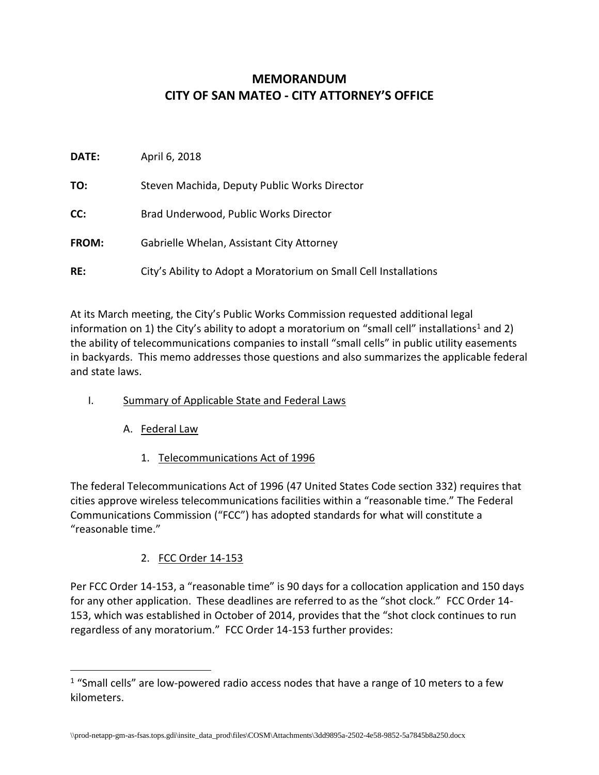# **MEMORANDUM CITY OF SAN MATEO - CITY ATTORNEY'S OFFICE**

| DATE: | April 6, 2018                                                    |
|-------|------------------------------------------------------------------|
| TO:   | Steven Machida, Deputy Public Works Director                     |
| CC:   | Brad Underwood, Public Works Director                            |
| FROM: | Gabrielle Whelan, Assistant City Attorney                        |
| RE:   | City's Ability to Adopt a Moratorium on Small Cell Installations |

At its March meeting, the City's Public Works Commission requested additional legal information on 1) the City's ability to adopt a moratorium on "small cell" installations<sup>1</sup> and 2) the ability of telecommunications companies to install "small cells" in public utility easements in backyards. This memo addresses those questions and also summarizes the applicable federal and state laws.

- I. Summary of Applicable State and Federal Laws
	- A. Federal Law

 $\overline{a}$ 

1. Telecommunications Act of 1996

The federal Telecommunications Act of 1996 (47 United States Code section 332) requires that cities approve wireless telecommunications facilities within a "reasonable time." The Federal Communications Commission ("FCC") has adopted standards for what will constitute a "reasonable time."

2. FCC Order 14-153

Per FCC Order 14-153, a "reasonable time" is 90 days for a collocation application and 150 days for any other application. These deadlines are referred to as the "shot clock." FCC Order 14- 153, which was established in October of 2014, provides that the "shot clock continues to run regardless of any moratorium." FCC Order 14-153 further provides:

 $1$  "Small cells" are low-powered radio access nodes that have a range of 10 meters to a few kilometers.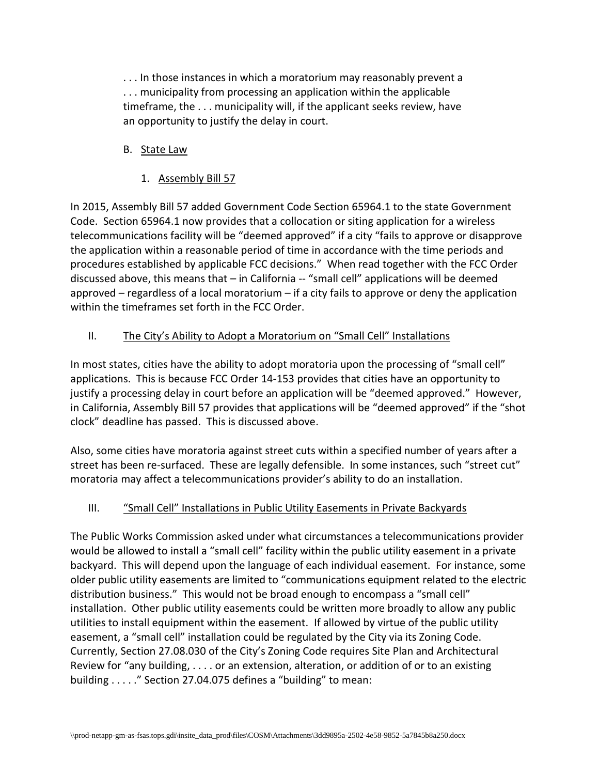. . . In those instances in which a moratorium may reasonably prevent a . . . municipality from processing an application within the applicable timeframe, the . . . municipality will, if the applicant seeks review, have an opportunity to justify the delay in court.

## B. State Law

### 1. Assembly Bill 57

In 2015, Assembly Bill 57 added Government Code Section 65964.1 to the state Government Code. Section 65964.1 now provides that a collocation or siting application for a wireless telecommunications facility will be "deemed approved" if a city "fails to approve or disapprove the application within a reasonable period of time in accordance with the time periods and procedures established by applicable FCC decisions." When read together with the FCC Order discussed above, this means that – in California -- "small cell" applications will be deemed approved – regardless of a local moratorium – if a city fails to approve or deny the application within the timeframes set forth in the FCC Order.

## II. The City's Ability to Adopt a Moratorium on "Small Cell" Installations

In most states, cities have the ability to adopt moratoria upon the processing of "small cell" applications. This is because FCC Order 14-153 provides that cities have an opportunity to justify a processing delay in court before an application will be "deemed approved." However, in California, Assembly Bill 57 provides that applications will be "deemed approved" if the "shot clock" deadline has passed. This is discussed above.

Also, some cities have moratoria against street cuts within a specified number of years after a street has been re-surfaced. These are legally defensible. In some instances, such "street cut" moratoria may affect a telecommunications provider's ability to do an installation.

#### III. "Small Cell" Installations in Public Utility Easements in Private Backyards

The Public Works Commission asked under what circumstances a telecommunications provider would be allowed to install a "small cell" facility within the public utility easement in a private backyard. This will depend upon the language of each individual easement. For instance, some older public utility easements are limited to "communications equipment related to the electric distribution business." This would not be broad enough to encompass a "small cell" installation. Other public utility easements could be written more broadly to allow any public utilities to install equipment within the easement. If allowed by virtue of the public utility easement, a "small cell" installation could be regulated by the City via its Zoning Code. Currently, Section 27.08.030 of the City's Zoning Code requires Site Plan and Architectural Review for "any building, . . . . or an extension, alteration, or addition of or to an existing building . . . . ." Section 27.04.075 defines a "building" to mean: